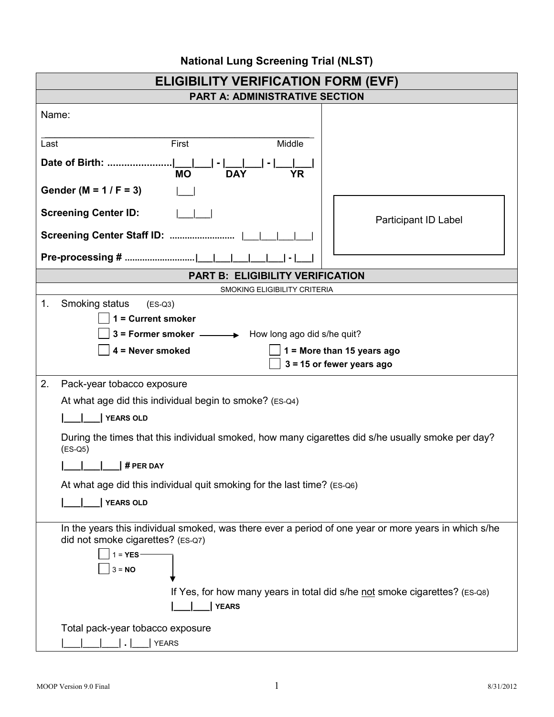| <b>ELIGIBILITY VERIFICATION FORM (EVF)</b>                                                                     |                             |  |  |
|----------------------------------------------------------------------------------------------------------------|-----------------------------|--|--|
| <b>PART A: ADMINISTRATIVE SECTION</b>                                                                          |                             |  |  |
| Name:                                                                                                          |                             |  |  |
| Middle<br>Last<br>First                                                                                        |                             |  |  |
| Date of Birth:                                                                                                 |                             |  |  |
| <b>MO</b><br><b>DAY</b><br>YR                                                                                  |                             |  |  |
| Gender (M = $1 / F = 3$ )                                                                                      |                             |  |  |
| <b>Screening Center ID:</b>                                                                                    | Participant ID Label        |  |  |
| Screening Center Staff ID:                                                                                     |                             |  |  |
| Pre-processing #                                                                                               |                             |  |  |
| <b>PART B: ELIGIBILITY VERIFICATION</b>                                                                        |                             |  |  |
| SMOKING ELIGIBILITY CRITERIA                                                                                   |                             |  |  |
| 1.<br>Smoking status<br>$(ES-Q3)$                                                                              |                             |  |  |
| 1 = Current smoker                                                                                             |                             |  |  |
| 3 = Former smoker $\longrightarrow$ How long ago did s/he quit?                                                |                             |  |  |
| 4 = Never smoked<br>1 = More than 15 years ago                                                                 |                             |  |  |
|                                                                                                                | $3 = 15$ or fewer years ago |  |  |
| 2.<br>Pack-year tobacco exposure                                                                               |                             |  |  |
| At what age did this individual begin to smoke? (ES-Q4)                                                        |                             |  |  |
| <b>YEARS OLD</b>                                                                                               |                             |  |  |
| During the times that this individual smoked, how many cigarettes did s/he usually smoke per day?<br>$(ES-Q5)$ |                             |  |  |
| # PER DAY                                                                                                      |                             |  |  |
| At what age did this individual quit smoking for the last time? (ES-Q6)                                        |                             |  |  |
| <b>YEARS OLD</b>                                                                                               |                             |  |  |
| In the years this individual smoked, was there ever a period of one year or more years in which s/he           |                             |  |  |
| did not smoke cigarettes? (ES-Q7)                                                                              |                             |  |  |
| $1 = YES -$                                                                                                    |                             |  |  |
| $3 = NO$                                                                                                       |                             |  |  |
| If Yes, for how many years in total did s/he not smoke cigarettes? (ES-Q8)                                     |                             |  |  |
| <b>YEARS</b>                                                                                                   |                             |  |  |
| Total pack-year tobacco exposure                                                                               |                             |  |  |
| <b>YEARS</b>                                                                                                   |                             |  |  |

## **National Lung Screening Trial (NLST)**